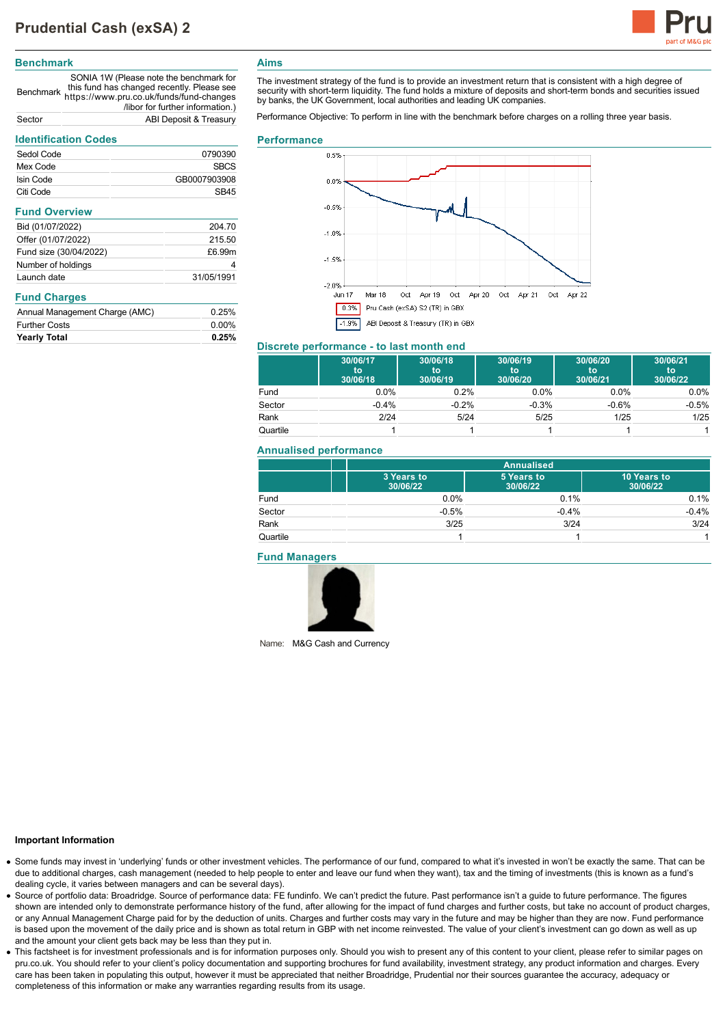

## **Benchmark**

Benchmark https://www.pru.co.uk/funds/fund-changes SONIA 1W (Please note the benchmark for this fund has changed recently. Please see /libor for further information.) Sector ABI Deposit & Treasury

# **Identification Codes**

| iueninication coues            |              |  |
|--------------------------------|--------------|--|
| Sedol Code                     | 0790390      |  |
| Mex Code                       | <b>SBCS</b>  |  |
| Isin Code                      | GB0007903908 |  |
| Citi Code                      | SB45         |  |
| <b>Fund Overview</b>           |              |  |
| Bid (01/07/2022)               | 204.70       |  |
| Offer (01/07/2022)             | 215.50       |  |
| Fund size (30/04/2022)         | £6.99m       |  |
| Number of holdings             | 4            |  |
| Launch date                    | 31/05/1991   |  |
| <b>Fund Charges</b>            |              |  |
| Annual Management Charge (AMC) | 0.25%        |  |
| <b>Further Costs</b>           | $0.00\%$     |  |
| Yearly Total                   | 0.25%        |  |

# **Aims**

The investment strategy of the fund is to provide an investment return that is consistent with a high degree of security with short-term liquidity. The fund holds a mixture of deposits and short-term bonds and securities issued by banks, the UK Government, local authorities and leading UK companies.

Performance Objective: To perform in line with the benchmark before charges on a rolling three year basis.

#### **Performance**



# **Discrete performance - to last month end**

|          | 30/06/17<br>to<br>30/06/18 | 30/06/18<br>to<br>30/06/19 | 30/06/19<br>to<br>30/06/20 | 30/06/20<br>to<br>30/06/21 | 30/06/21<br>to<br>30/06/22 |
|----------|----------------------------|----------------------------|----------------------------|----------------------------|----------------------------|
| Fund     | $0.0\%$                    | 0.2%                       | $0.0\%$                    | $0.0\%$                    | $0.0\%$                    |
| Sector   | $-0.4%$                    | $-0.2%$                    | $-0.3%$                    | $-0.6%$                    | $-0.5%$                    |
| Rank     | 2/24                       | 5/24                       | 5/25                       | 1/25                       | 1/25                       |
| Quartile |                            |                            |                            |                            |                            |

#### **Annualised performance**

|          | <b>Annualised</b>      |                        |                         |
|----------|------------------------|------------------------|-------------------------|
|          | 3 Years to<br>30/06/22 | 5 Years to<br>30/06/22 | 10 Years to<br>30/06/22 |
| Fund     | 0.0%                   | 0.1%                   | 0.1%                    |
| Sector   | $-0.5%$                | $-0.4%$                | $-0.4%$                 |
| Rank     | 3/25                   | 3/24                   | 3/24                    |
| Quartile |                        |                        |                         |

## **Fund Managers**



Name: M&G Cash and Currency

### **Important Information**

- Some funds may invest in 'underlying' funds or other investment vehicles. The performance of our fund, compared to what it's invested in won't be exactly the same. That can be due to additional charges, cash management (needed to help people to enter and leave our fund when they want), tax and the timing of investments (this is known as a fund's dealing cycle, it varies between managers and can be several days).
- Source of portfolio data: Broadridge. Source of performance data: FE fundinfo. We can't predict the future. Past performance isn't a guide to future performance. The figures shown are intended only to demonstrate performance history of the fund, after allowing for the impact of fund charges and further costs, but take no account of product charges, or any Annual Management Charge paid for by the deduction of units. Charges and further costs may vary in the future and may be higher than they are now. Fund performance is based upon the movement of the daily price and is shown as total return in GBP with net income reinvested. The value of your client's investment can go down as well as up and the amount your client gets back may be less than they put in.
- This factsheet is for investment professionals and is for information purposes only. Should you wish to present any of this content to your client, please refer to similar pages on pru.co.uk. You should refer to your client's policy documentation and supporting brochures for fund availability, investment strategy, any product information and charges. Every care has been taken in populating this output, however it must be appreciated that neither Broadridge, Prudential nor their sources guarantee the accuracy, adequacy or completeness of this information or make any warranties regarding results from its usage.